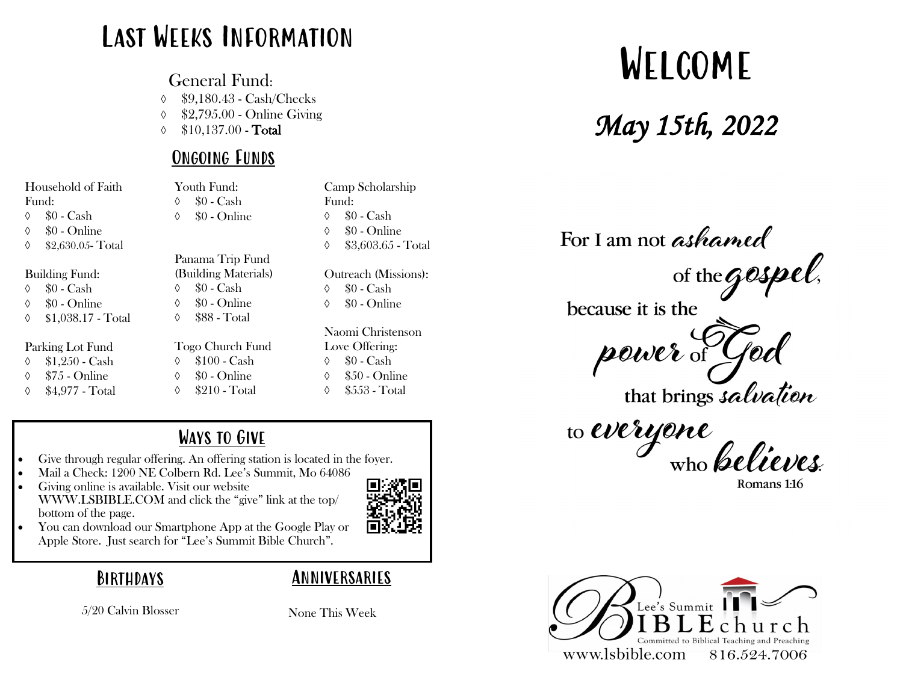### Last Weeks Information

General Fund:

\$9,180.43 - Cash/Checks

\$2,795.00 - Online Giving

 $\lozenge$  \$10,137.00 - Total

#### Ongoing Funds

| Household of Faith      | Youth Fund:          | Camp Scholarship        |
|-------------------------|----------------------|-------------------------|
| Fund:                   | $$0 - Cash$<br>♦     | Fund:                   |
| $$0 - Cash$<br>♦        | \$0 - Online<br>♦    | $$0 - Cash$<br>♦        |
| \$0 - Online<br>♦       |                      | \$0 - Online<br>♦       |
| \$2,630.05-Total<br>♦   |                      | \$3,603.65 - Total<br>♦ |
|                         | Panama Trip Fund     |                         |
| <b>Building Fund:</b>   | (Building Materials) | Outreach (Missions):    |
| $$0 - Cash$<br>♦        | $$0 - Cash$<br>♦     | $$0 - Cash$<br>♦        |
| \$0 - Online<br>♦       | \$0 - Online<br>♦    | \$0 - Online<br>♦       |
| \$1,038.17 - Total<br>♦ | \$88 - Total<br>♦    |                         |
|                         |                      | Naomi Christenson       |
| Parking Lot Fund        | Togo Church Fund     | Love Offering:          |
| $$1,250$ - Cash<br>♦    | $$100$ - Cash<br>♦   | $$0 - Cash$<br>♦        |
| $$75$ - Online<br>♦     | \$0 - Online<br>♦    | \$50 - Online<br>♦      |
| \$4,977 - Total<br>♦    | \$210 - Total<br>♦   | \$553 - Total<br>♦      |
|                         |                      |                         |

- Ways to Give
- Give through regular offering. An offering station is located in the foyer. • Mail a Check: 1200 NE Colbern Rd. Lee's Summit, Mo 64086
- Giving online is available. Visit our website WWW.LSBIBLE.COM and click the "give" link at the top/ bottom of the page.



• You can download our Smartphone App at the Google Play or Apple Store. Just search for "Lee's Summit Bible Church".



Anniversaries

5/20 Calvin Blosser

None This Week

# Welcome

*May 15th, 2022* 

For I am not ashamed  $\frac{1}{2}$  aspect of the **GOSPel**,

because it is the

power of yod

that brings salvation

to Weryone who believes

Romans 1:16